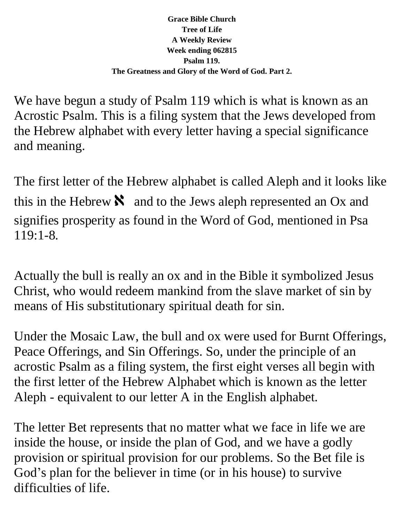## **Grace Bible Church Tree of Life A Weekly Review Week ending 062815 Psalm 119. The Greatness and Glory of the Word of God. Part 2.**

We have begun a study of Psalm 119 which is what is known as an Acrostic Psalm. This is a filing system that the Jews developed from the Hebrew alphabet with every letter having a special significance and meaning.

The first letter of the Hebrew alphabet is called Aleph and it looks like this in the Hebrew  $\aleph$  and to the Jews aleph represented an Ox and signifies prosperity as found in the Word of God, mentioned in Psa 119:1-8.

Actually the bull is really an ox and in the Bible it symbolized Jesus Christ, who would redeem mankind from the slave market of sin by means of His substitutionary spiritual death for sin.

Under the Mosaic Law, the bull and ox were used for Burnt Offerings, Peace Offerings, and Sin Offerings. So, under the principle of an acrostic Psalm as a filing system, the first eight verses all begin with the first letter of the Hebrew Alphabet which is known as the letter Aleph - equivalent to our letter A in the English alphabet.

The letter Bet represents that no matter what we face in life we are inside the house, or inside the plan of God, and we have a godly provision or spiritual provision for our problems. So the Bet file is God's plan for the believer in time (or in his house) to survive difficulties of life.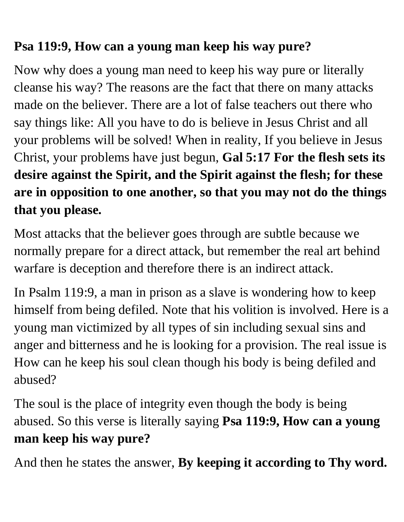## **Psa 119:9, How can a young man keep his way pure?**

Now why does a young man need to keep his way pure or literally cleanse his way? The reasons are the fact that there on many attacks made on the believer. There are a lot of false teachers out there who say things like: All you have to do is believe in Jesus Christ and all your problems will be solved! When in reality, If you believe in Jesus Christ, your problems have just begun, **Gal 5:17 For the flesh sets its desire against the Spirit, and the Spirit against the flesh; for these are in opposition to one another, so that you may not do the things that you please.**

Most attacks that the believer goes through are subtle because we normally prepare for a direct attack, but remember the real art behind warfare is deception and therefore there is an indirect attack.

In Psalm 119:9, a man in prison as a slave is wondering how to keep himself from being defiled. Note that his volition is involved. Here is a young man victimized by all types of sin including sexual sins and anger and bitterness and he is looking for a provision. The real issue is How can he keep his soul clean though his body is being defiled and abused?

The soul is the place of integrity even though the body is being abused. So this verse is literally saying **Psa 119:9, How can a young man keep his way pure?** 

And then he states the answer, **By keeping it according to Thy word.**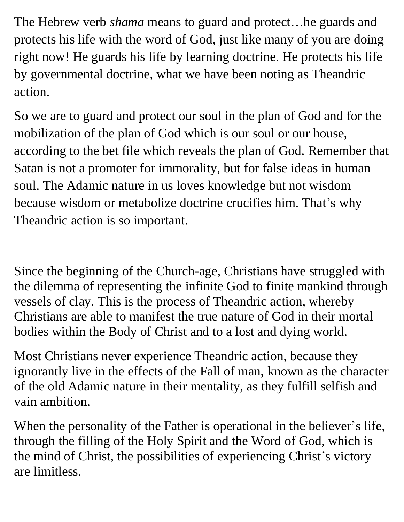The Hebrew verb *shama* means to guard and protect…he guards and protects his life with the word of God, just like many of you are doing right now! He guards his life by learning doctrine. He protects his life by governmental doctrine, what we have been noting as Theandric action.

So we are to guard and protect our soul in the plan of God and for the mobilization of the plan of God which is our soul or our house, according to the bet file which reveals the plan of God. Remember that Satan is not a promoter for immorality, but for false ideas in human soul. The Adamic nature in us loves knowledge but not wisdom because wisdom or metabolize doctrine crucifies him. That's why Theandric action is so important.

Since the beginning of the Church-age, Christians have struggled with the dilemma of representing the infinite God to finite mankind through vessels of clay. This is the process of Theandric action, whereby Christians are able to manifest the true nature of God in their mortal bodies within the Body of Christ and to a lost and dying world.

Most Christians never experience Theandric action, because they ignorantly live in the effects of the Fall of man, known as the character of the old Adamic nature in their mentality, as they fulfill selfish and vain ambition.

When the personality of the Father is operational in the believer's life, through the filling of the Holy Spirit and the Word of God, which is the mind of Christ, the possibilities of experiencing Christ's victory are limitless.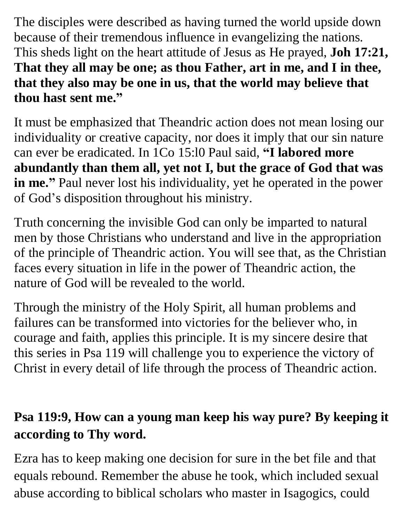The disciples were described as having turned the world upside down because of their tremendous influence in evangelizing the nations. This sheds light on the heart attitude of Jesus as He prayed, **Joh 17:21, That they all may be one; as thou Father, art in me, and I in thee, that they also may be one in us, that the world may believe that thou hast sent me."**

It must be emphasized that Theandric action does not mean losing our individuality or creative capacity, nor does it imply that our sin nature can ever be eradicated. In 1Co 15:l0 Paul said, **"I labored more abundantly than them all, yet not I, but the grace of God that was in me."** Paul never lost his individuality, yet he operated in the power of God's disposition throughout his ministry.

Truth concerning the invisible God can only be imparted to natural men by those Christians who understand and live in the appropriation of the principle of Theandric action. You will see that, as the Christian faces every situation in life in the power of Theandric action, the nature of God will be revealed to the world.

Through the ministry of the Holy Spirit, all human problems and failures can be transformed into victories for the believer who, in courage and faith, applies this principle. It is my sincere desire that this series in Psa 119 will challenge you to experience the victory of Christ in every detail of life through the process of Theandric action.

## **Psa 119:9, How can a young man keep his way pure? By keeping it according to Thy word.**

Ezra has to keep making one decision for sure in the bet file and that equals rebound. Remember the abuse he took, which included sexual abuse according to biblical scholars who master in Isagogics, could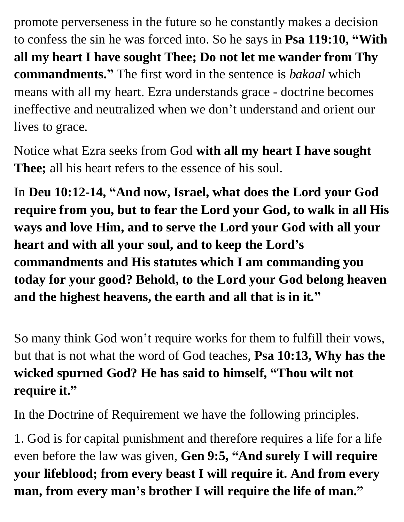promote perverseness in the future so he constantly makes a decision to confess the sin he was forced into. So he says in **Psa 119:10, "With all my heart I have sought Thee; Do not let me wander from Thy commandments."** The first word in the sentence is *bakaal* which means with all my heart. Ezra understands grace - doctrine becomes ineffective and neutralized when we don't understand and orient our lives to grace.

Notice what Ezra seeks from God **with all my heart I have sought Thee;** all his heart refers to the essence of his soul.

In **Deu 10:12-14, "And now, Israel, what does the Lord your God require from you, but to fear the Lord your God, to walk in all His ways and love Him, and to serve the Lord your God with all your heart and with all your soul, and to keep the Lord's commandments and His statutes which I am commanding you today for your good? Behold, to the Lord your God belong heaven and the highest heavens, the earth and all that is in it."**

So many think God won't require works for them to fulfill their vows, but that is not what the word of God teaches, **Psa 10:13, Why has the wicked spurned God? He has said to himself, "Thou wilt not require it."**

In the Doctrine of Requirement we have the following principles.

1. God is for capital punishment and therefore requires a life for a life even before the law was given, **Gen 9:5, "And surely I will require your lifeblood; from every beast I will require it. And from every man, from every man's brother I will require the life of man."**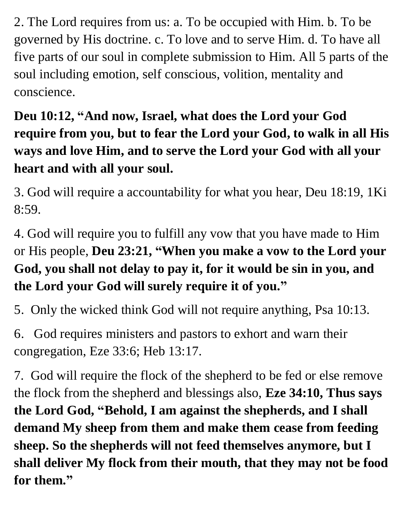2. The Lord requires from us: a. To be occupied with Him. b. To be governed by His doctrine. c. To love and to serve Him. d. To have all five parts of our soul in complete submission to Him. All 5 parts of the soul including emotion, self conscious, volition, mentality and conscience.

## **Deu 10:12, "And now, Israel, what does the Lord your God require from you, but to fear the Lord your God, to walk in all His ways and love Him, and to serve the Lord your God with all your heart and with all your soul.**

3. God will require a accountability for what you hear, Deu 18:19, 1Ki 8:59.

4. God will require you to fulfill any vow that you have made to Him or His people, **Deu 23:21, "When you make a vow to the Lord your God, you shall not delay to pay it, for it would be sin in you, and the Lord your God will surely require it of you."**

5. Only the wicked think God will not require anything, Psa 10:13.

6. God requires ministers and pastors to exhort and warn their congregation, Eze 33:6; Heb 13:17.

7. God will require the flock of the shepherd to be fed or else remove the flock from the shepherd and blessings also, **Eze 34:10, Thus says the Lord God, "Behold, I am against the shepherds, and I shall demand My sheep from them and make them cease from feeding sheep. So the shepherds will not feed themselves anymore, but I shall deliver My flock from their mouth, that they may not be food for them."**